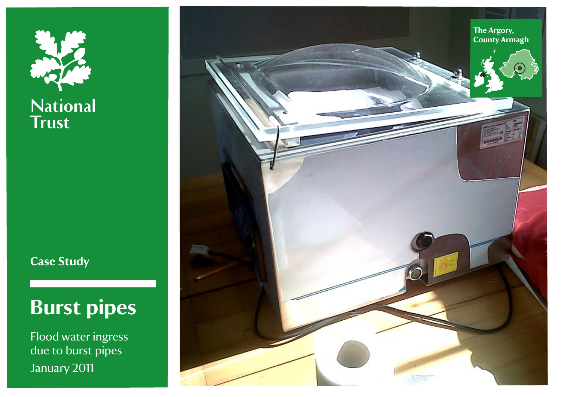

**Case Study**

# **Burst pipes**

Flood water ingress due to burst pipes January 2011

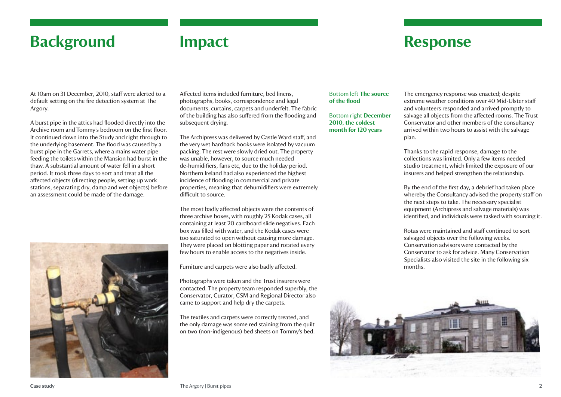# **Background**

## **Impact**

# **Response**

At 10am on 31 December, 2010, staff were alerted to a default setting on the fire detection system at The Argory.

A burst pipe in the attics had flooded directly into the Archive room and Tommy's bedroom on the first floor. It continued down into the Study and right through to the underlying basement. The flood was caused by a burst pipe in the Garrets, where a mains water pipe feeding the toilets within the Mansion had burst in the thaw. A substantial amount of water fell in a short period. It took three days to sort and treat all the affected objects (directing people, setting up work stations, separating dry, damp and wet objects) before an assessment could be made of the damage.



Affected items included furniture, bed linens, photographs, books, correspondence and legal documents, curtains, carpets and underfelt. The fabric of the building has also suffered from the flooding and subsequent drving.

The Archipress was delivered by Castle Ward staff, and the very wet hardback books were isolated by vacuum packing. The rest were slowly dried out. The property was unable, however, to source much needed de-humidifiers, fans etc, due to the holiday period. Northern Ireland had also experienced the highest incidence of flooding in commercial and private properties, meaning that dehumidifiers were extremely difficult to source.

The most badly affected objects were the contents of three archive boxes, with roughly 25 Kodak cases, all containing at least 20 cardboard slide negatives. Each box was filled with water, and the Kodak cases were too saturated to open without causing more damage. They were placed on blotting paper and rotated every few hours to enable access to the negatives inside.

Furniture and carpets were also badly affected.

Photographs were taken and the Trust insurers were contacted. The property team responded superbly, the Conservator, Curator, CSM and Regional Director also came to support and help dry the carpets.

The textiles and carpets were correctly treated, and the only damage was some red staining from the quilt on two (non-indigenous) bed sheets on Tommy's bed.

#### Bottom left **The source of the flood**

Bottom right **December 2010, the coldest month for 120 years**

The emergency response was enacted; despite extreme weather conditions over 40 Mid-Ulster staff and volunteers responded and arrived promptly to salvage all objects from the affected rooms. The Trust Conservator and other members of the consultancy arrived within two hours to assist with the salvage plan.

Thanks to the rapid response, damage to the collections was limited. Only a few items needed studio treatment, which limited the exposure of our insurers and helped strengthen the relationship.

By the end of the first day, a debrief had taken place whereby the Consultancy advised the property staff on the next steps to take. The necessary specialist equipment (Archipress and salvage materials) was identified, and individuals were tasked with sourcing it.

Rotas were maintained and staff continued to sort salvaged objects over the following weeks. Conservation advisors were contacted by the Conservator to ask for advice. Many Conservation Specialists also visited the site in the following six months.

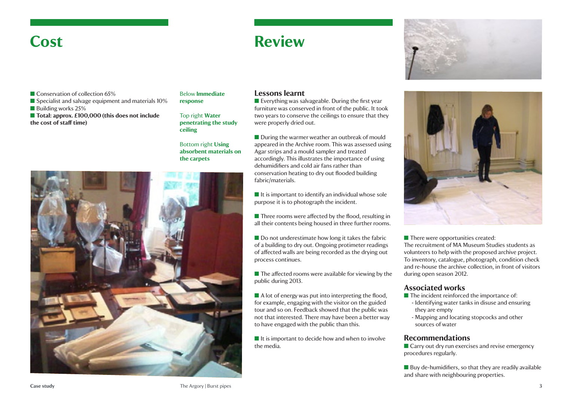### **Cost**

# **Review**



- **n** Conservation of collection 65%
- $\blacksquare$  Specialist and salvage equipment and materials 10%
- Building works  $25%$
- Total: approx. £100,000 (this does not include **the cost of staff time)**

#### Below **Immediate response**

Top right **Water penetrating the study ceiling**

### Bottom right **Using absorbent materials on the carpets**



### **Lessons learnt**

 $\blacksquare$  Everything was salvageable. During the first year furniture was conserved in front of the public. It took two years to conserve the ceilings to ensure that they were properly dried out.

 $\blacksquare$  During the warmer weather an outbreak of mould appeared in the Archive room. This was assessed using Agar strips and a mould sampler and treated accordingly. This illustrates the importance of using dehumidifiers and cold air fans rather than conservation heating to dry out flooded building fabric/materials.

 $\blacksquare$  It is important to identify an individual whose sole purpose it is to photograph the incident.

 $\blacksquare$  Three rooms were affected by the flood, resulting in all their contents being housed in three further rooms.

 $\blacksquare$  Do not underestimate how long it takes the fabric of a building to dry out. Ongoing protimeter readings of affected walls are being recorded as the drying out process continues.

 $\blacksquare$  The affected rooms were available for viewing by the public during 2013.

 $\blacksquare$  A lot of energy was put into interpreting the flood, for example, engaging with the visitor on the guided tour and so on. Feedback showed that the public was not that interested. There may have been a better way to have engaged with the public than this.

 $\blacksquare$  It is important to decide how and when to involve the media.



 $\blacksquare$  There were opportunities created: The recruitment of MA Museum Studies students as volunteers to help with the proposed archive project. To inventory, catalogue, photograph, condition check and re-house the archive collection, in front of visitors during open season 2012.

### **Associated works**

- $\blacksquare$  The incident reinforced the importance of:
- Identifying water tanks in disuse and ensuring they are empty
- Mapping and locating stopcocks and other sources of water

### **Recommendations**

 $\blacksquare$  Carry out dry run exercises and revise emergency procedures regularly.

 $\blacksquare$  Buy de-humidifiers, so that they are readily available and share with neighbouring properties.